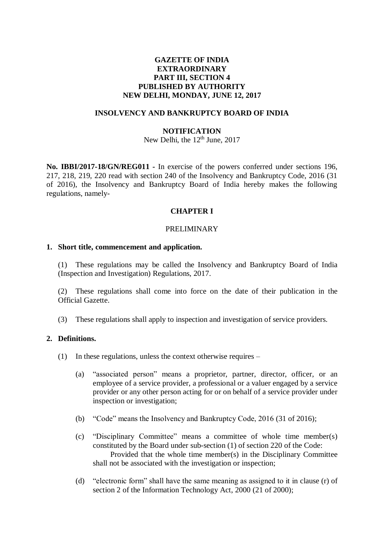### **GAZETTE OF INDIA EXTRAORDINARY PART III, SECTION 4 PUBLISHED BY AUTHORITY NEW DELHI, MONDAY, JUNE 12, 2017**

#### **INSOLVENCY AND BANKRUPTCY BOARD OF INDIA**

#### **NOTIFICATION**

New Delhi, the 12<sup>th</sup> June, 2017

**No. IBBI/2017-18/GN/REG011 -** In exercise of the powers conferred under sections 196, 217, 218, 219, 220 read with section 240 of the Insolvency and Bankruptcy Code, 2016 (31 of 2016), the Insolvency and Bankruptcy Board of India hereby makes the following regulations, namely-

#### **CHAPTER I**

#### PRELIMINARY

#### **1. Short title, commencement and application.**

(1) These regulations may be called the Insolvency and Bankruptcy Board of India (Inspection and Investigation) Regulations, 2017.

(2) These regulations shall come into force on the date of their publication in the Official Gazette.

(3) These regulations shall apply to inspection and investigation of service providers.

#### **2. Definitions.**

- (1) In these regulations, unless the context otherwise requires  $-$ 
	- (a) "associated person" means a proprietor, partner, director, officer, or an employee of a service provider, a professional or a valuer engaged by a service provider or any other person acting for or on behalf of a service provider under inspection or investigation;
	- (b) "Code" means the Insolvency and Bankruptcy Code, 2016 (31 of 2016);
	- (c) "Disciplinary Committee" means a committee of whole time member(s) constituted by the Board under sub-section (1) of section 220 of the Code: Provided that the whole time member(s) in the Disciplinary Committee shall not be associated with the investigation or inspection;
	- (d) "electronic form" shall have the same meaning as assigned to it in clause (r) of section 2 of the Information Technology Act, 2000 (21 of 2000);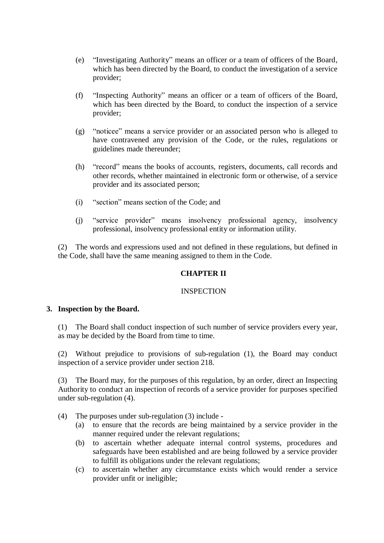- (e) "Investigating Authority" means an officer or a team of officers of the Board, which has been directed by the Board, to conduct the investigation of a service provider;
- (f) "Inspecting Authority" means an officer or a team of officers of the Board, which has been directed by the Board, to conduct the inspection of a service provider;
- (g) "noticee" means a service provider or an associated person who is alleged to have contravened any provision of the Code, or the rules, regulations or guidelines made thereunder;
- (h) "record" means the books of accounts, registers, documents, call records and other records, whether maintained in electronic form or otherwise, of a service provider and its associated person;
- (i) "section" means section of the Code; and
- (j) "service provider" means insolvency professional agency, insolvency professional, insolvency professional entity or information utility.

(2) The words and expressions used and not defined in these regulations, but defined in the Code, shall have the same meaning assigned to them in the Code.

## **CHAPTER II**

#### INSPECTION

#### **3. Inspection by the Board.**

(1) The Board shall conduct inspection of such number of service providers every year, as may be decided by the Board from time to time.

(2) Without prejudice to provisions of sub-regulation (1), the Board may conduct inspection of a service provider under section 218.

(3) The Board may, for the purposes of this regulation, by an order, direct an Inspecting Authority to conduct an inspection of records of a service provider for purposes specified under sub-regulation (4).

- (4) The purposes under sub-regulation (3) include
	- (a) to ensure that the records are being maintained by a service provider in the manner required under the relevant regulations;
	- (b) to ascertain whether adequate internal control systems, procedures and safeguards have been established and are being followed by a service provider to fulfill its obligations under the relevant regulations;
	- (c) to ascertain whether any circumstance exists which would render a service provider unfit or ineligible;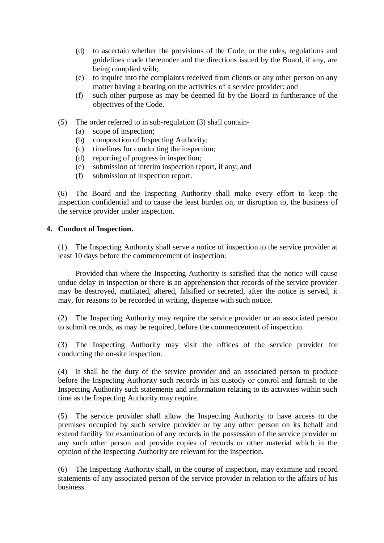- (d) to ascertain whether the provisions of the Code, or the rules, regulations and guidelines made thereunder and the directions issued by the Board, if any, are being complied with;
- (e) to inquire into the complaints received from clients or any other person on any matter having a bearing on the activities of a service provider; and
- (f) such other purpose as may be deemed fit by the Board in furtherance of the objectives of the Code.
- (5) The order referred to in sub-regulation (3) shall contain-
	- (a) scope of inspection;
	- (b) composition of Inspecting Authority;
	- (c) timelines for conducting the inspection;
	- (d) reporting of progress in inspection;
	- (e) submission of interim inspection report, if any; and
	- (f) submission of inspection report.

(6) The Board and the Inspecting Authority shall make every effort to keep the inspection confidential and to cause the least burden on, or disruption to, the business of the service provider under inspection.

#### **4. Conduct of Inspection.**

(1) The Inspecting Authority shall serve a notice of inspection to the service provider at least 10 days before the commencement of inspection:

Provided that where the Inspecting Authority is satisfied that the notice will cause undue delay in inspection or there is an apprehension that records of the service provider may be destroyed, mutilated, altered, falsified or secreted, after the notice is served, it may, for reasons to be recorded in writing, dispense with such notice.

(2) The Inspecting Authority may require the service provider or an associated person to submit records, as may be required, before the commencement of inspection.

(3) The Inspecting Authority may visit the offices of the service provider for conducting the on-site inspection.

(4) It shall be the duty of the service provider and an associated person to produce before the Inspecting Authority such records in his custody or control and furnish to the Inspecting Authority such statements and information relating to its activities within such time as the Inspecting Authority may require.

(5) The service provider shall allow the Inspecting Authority to have access to the premises occupied by such service provider or by any other person on its behalf and extend facility for examination of any records in the possession of the service provider or any such other person and provide copies of records or other material which in the opinion of the Inspecting Authority are relevant for the inspection.

(6) The Inspecting Authority shall, in the course of inspection, may examine and record statements of any associated person of the service provider in relation to the affairs of his business.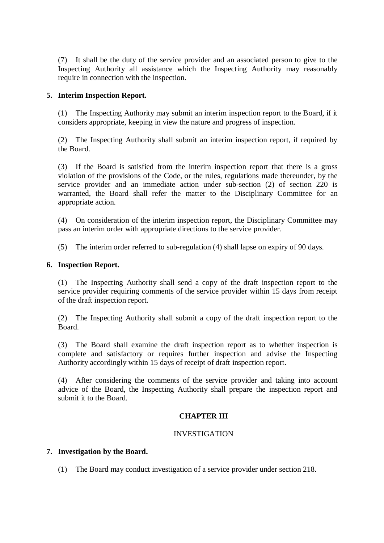(7) It shall be the duty of the service provider and an associated person to give to the Inspecting Authority all assistance which the Inspecting Authority may reasonably require in connection with the inspection.

### **5. Interim Inspection Report.**

(1) The Inspecting Authority may submit an interim inspection report to the Board, if it considers appropriate, keeping in view the nature and progress of inspection.

(2) The Inspecting Authority shall submit an interim inspection report, if required by the Board.

(3) If the Board is satisfied from the interim inspection report that there is a gross violation of the provisions of the Code, or the rules, regulations made thereunder, by the service provider and an immediate action under sub-section (2) of section 220 is warranted, the Board shall refer the matter to the Disciplinary Committee for an appropriate action.

(4) On consideration of the interim inspection report, the Disciplinary Committee may pass an interim order with appropriate directions to the service provider.

(5) The interim order referred to sub-regulation (4) shall lapse on expiry of 90 days.

#### **6. Inspection Report.**

(1) The Inspecting Authority shall send a copy of the draft inspection report to the service provider requiring comments of the service provider within 15 days from receipt of the draft inspection report.

(2) The Inspecting Authority shall submit a copy of the draft inspection report to the Board.

(3) The Board shall examine the draft inspection report as to whether inspection is complete and satisfactory or requires further inspection and advise the Inspecting Authority accordingly within 15 days of receipt of draft inspection report.

(4) After considering the comments of the service provider and taking into account advice of the Board, the Inspecting Authority shall prepare the inspection report and submit it to the Board.

#### **CHAPTER III**

## INVESTIGATION

#### **7. Investigation by the Board.**

(1) The Board may conduct investigation of a service provider under section 218.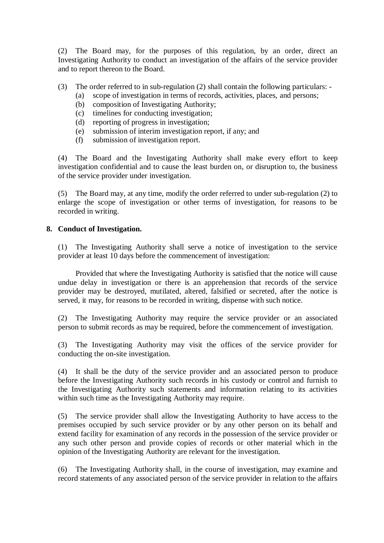(2) The Board may, for the purposes of this regulation, by an order, direct an Investigating Authority to conduct an investigation of the affairs of the service provider and to report thereon to the Board.

- (3) The order referred to in sub-regulation (2) shall contain the following particulars:
	- (a) scope of investigation in terms of records, activities, places, and persons;
	- (b) composition of Investigating Authority;
	- (c) timelines for conducting investigation;
	- (d) reporting of progress in investigation;
	- (e) submission of interim investigation report, if any; and
	- (f) submission of investigation report.

(4) The Board and the Investigating Authority shall make every effort to keep investigation confidential and to cause the least burden on, or disruption to, the business of the service provider under investigation.

(5) The Board may, at any time, modify the order referred to under sub-regulation (2) to enlarge the scope of investigation or other terms of investigation, for reasons to be recorded in writing.

### **8. Conduct of Investigation.**

(1) The Investigating Authority shall serve a notice of investigation to the service provider at least 10 days before the commencement of investigation:

Provided that where the Investigating Authority is satisfied that the notice will cause undue delay in investigation or there is an apprehension that records of the service provider may be destroyed, mutilated, altered, falsified or secreted, after the notice is served, it may, for reasons to be recorded in writing, dispense with such notice.

(2) The Investigating Authority may require the service provider or an associated person to submit records as may be required, before the commencement of investigation.

(3) The Investigating Authority may visit the offices of the service provider for conducting the on-site investigation.

(4) It shall be the duty of the service provider and an associated person to produce before the Investigating Authority such records in his custody or control and furnish to the Investigating Authority such statements and information relating to its activities within such time as the Investigating Authority may require.

(5) The service provider shall allow the Investigating Authority to have access to the premises occupied by such service provider or by any other person on its behalf and extend facility for examination of any records in the possession of the service provider or any such other person and provide copies of records or other material which in the opinion of the Investigating Authority are relevant for the investigation.

(6) The Investigating Authority shall, in the course of investigation, may examine and record statements of any associated person of the service provider in relation to the affairs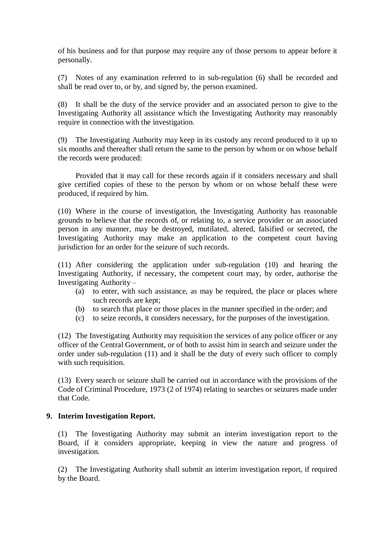of his business and for that purpose may require any of those persons to appear before it personally.

(7) Notes of any examination referred to in sub-regulation (6) shall be recorded and shall be read over to, or by, and signed by, the person examined.

(8) It shall be the duty of the service provider and an associated person to give to the Investigating Authority all assistance which the Investigating Authority may reasonably require in connection with the investigation.

(9) The Investigating Authority may keep in its custody any record produced to it up to six months and thereafter shall return the same to the person by whom or on whose behalf the records were produced:

Provided that it may call for these records again if it considers necessary and shall give certified copies of these to the person by whom or on whose behalf these were produced, if required by him.

(10) Where in the course of investigation, the Investigating Authority has reasonable grounds to believe that the records of, or relating to, a service provider or an associated person in any manner, may be destroyed, mutilated, altered, falsified or secreted, the Investigating Authority may make an application to the competent court having jurisdiction for an order for the seizure of such records.

(11) After considering the application under sub-regulation (10) and hearing the Investigating Authority, if necessary, the competent court may, by order, authorise the Investigating Authority –

- (a) to enter, with such assistance, as may be required, the place or places where such records are kept;
- (b) to search that place or those places in the manner specified in the order; and
- (c) to seize records, it considers necessary, for the purposes of the investigation.

(12) The Investigating Authority may requisition the services of any police officer or any officer of the Central Government, or of both to assist him in search and seizure under the order under sub-regulation (11) and it shall be the duty of every such officer to comply with such requisition.

(13) Every search or seizure shall be carried out in accordance with the provisions of the Code of Criminal Procedure, 1973 (2 of 1974) relating to searches or seizures made under that Code.

#### **9. Interim Investigation Report.**

(1) The Investigating Authority may submit an interim investigation report to the Board, if it considers appropriate, keeping in view the nature and progress of investigation.

(2) The Investigating Authority shall submit an interim investigation report, if required by the Board.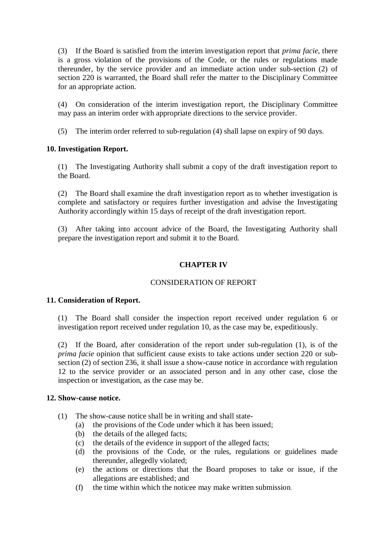(3) If the Board is satisfied from the interim investigation report that *prima facie*, there is a gross violation of the provisions of the Code, or the rules or regulations made thereunder, by the service provider and an immediate action under sub-section (2) of section 220 is warranted, the Board shall refer the matter to the Disciplinary Committee for an appropriate action.

(4) On consideration of the interim investigation report, the Disciplinary Committee may pass an interim order with appropriate directions to the service provider.

(5) The interim order referred to sub-regulation (4) shall lapse on expiry of 90 days.

## **10. Investigation Report.**

(1) The Investigating Authority shall submit a copy of the draft investigation report to the Board.

(2) The Board shall examine the draft investigation report as to whether investigation is complete and satisfactory or requires further investigation and advise the Investigating Authority accordingly within 15 days of receipt of the draft investigation report.

(3) After taking into account advice of the Board, the Investigating Authority shall prepare the investigation report and submit it to the Board.

## **CHAPTER IV**

## CONSIDERATION OF REPORT

#### **11. Consideration of Report.**

(1) The Board shall consider the inspection report received under regulation 6 or investigation report received under regulation 10, as the case may be, expeditiously.

(2) If the Board, after consideration of the report under sub-regulation (1), is of the *prima facie* opinion that sufficient cause exists to take actions under section 220 or subsection (2) of section 236, it shall issue a show-cause notice in accordance with regulation 12 to the service provider or an associated person and in any other case, close the inspection or investigation, as the case may be.

#### **12. Show-cause notice.**

- (1) The show-cause notice shall be in writing and shall state-
	- (a) the provisions of the Code under which it has been issued;
	- (b) the details of the alleged facts;
	- (c) the details of the evidence in support of the alleged facts;
	- (d) the provisions of the Code, or the rules, regulations or guidelines made thereunder, allegedly violated;
	- (e) the actions or directions that the Board proposes to take or issue, if the allegations are established; and
	- (f) the time within which the noticee may make written submission.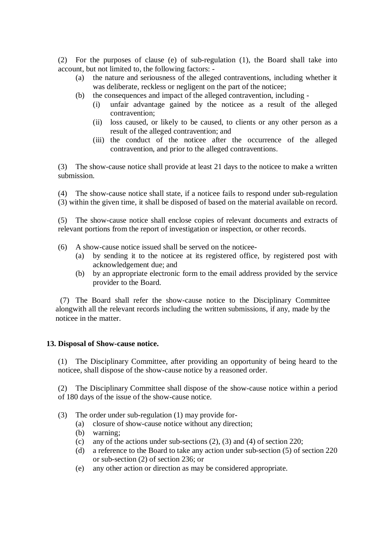(2) For the purposes of clause (e) of sub-regulation (1), the Board shall take into account, but not limited to, the following factors: -

- (a) the nature and seriousness of the alleged contraventions, including whether it was deliberate, reckless or negligent on the part of the noticee;
- (b) the consequences and impact of the alleged contravention, including
	- (i) unfair advantage gained by the noticee as a result of the alleged contravention;
	- (ii) loss caused, or likely to be caused, to clients or any other person as a result of the alleged contravention; and
	- (iii) the conduct of the noticee after the occurrence of the alleged contravention, and prior to the alleged contraventions.

(3) The show-cause notice shall provide at least 21 days to the noticee to make a written submission.

(4) The show-cause notice shall state, if a noticee fails to respond under sub-regulation (3) within the given time, it shall be disposed of based on the material available on record.

(5) The show-cause notice shall enclose copies of relevant documents and extracts of relevant portions from the report of investigation or inspection, or other records.

- (6) A show-cause notice issued shall be served on the noticee-
	- (a) by sending it to the noticee at its registered office, by registered post with acknowledgement due; and
	- (b) by an appropriate electronic form to the email address provided by the service provider to the Board.

(7) The Board shall refer the show-cause notice to the Disciplinary Committee alongwith all the relevant records including the written submissions, if any, made by the noticee in the matter.

#### **13. Disposal of Show-cause notice.**

(1) The Disciplinary Committee, after providing an opportunity of being heard to the noticee, shall dispose of the show-cause notice by a reasoned order.

(2) The Disciplinary Committee shall dispose of the show-cause notice within a period of 180 days of the issue of the show-cause notice.

- (3) The order under sub-regulation (1) may provide for-
	- (a) closure of show-cause notice without any direction;
	- (b) warning;
	- (c) any of the actions under sub-sections (2), (3) and (4) of section 220;
	- (d) a reference to the Board to take any action under sub-section (5) of section 220 or sub-section (2) of section 236; or
	- (e) any other action or direction as may be considered appropriate.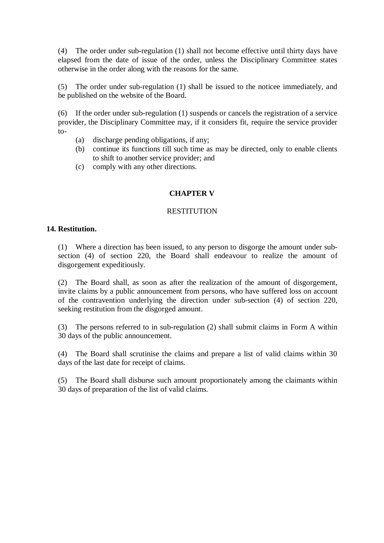(4) The order under sub-regulation (1) shall not become effective until thirty days have elapsed from the date of issue of the order, unless the Disciplinary Committee states otherwise in the order along with the reasons for the same.

(5) The order under sub-regulation (1) shall be issued to the noticee immediately, and be published on the website of the Board.

(6) If the order under sub-regulation (1) suspends or cancels the registration of a service provider, the Disciplinary Committee may, if it considers fit, require the service provider  $to-$ 

- (a) discharge pending obligations, if any;
- (b) continue its functions till such time as may be directed, only to enable clients to shift to another service provider; and
- (c) comply with any other directions.

### **CHAPTER V**

#### **RESTITUTION**

#### **14. Restitution.**

(1) Where a direction has been issued, to any person to disgorge the amount under subsection (4) of section 220, the Board shall endeavour to realize the amount of disgorgement expeditiously.

(2) The Board shall, as soon as after the realization of the amount of disgorgement, invite claims by a public announcement from persons, who have suffered loss on account of the contravention underlying the direction under sub-section (4) of section 220, seeking restitution from the disgorged amount.

(3) The persons referred to in sub-regulation (2) shall submit claims in Form A within 30 days of the public announcement.

(4) The Board shall scrutinise the claims and prepare a list of valid claims within 30 days of the last date for receipt of claims.

(5) The Board shall disburse such amount proportionately among the claimants within 30 days of preparation of the list of valid claims.